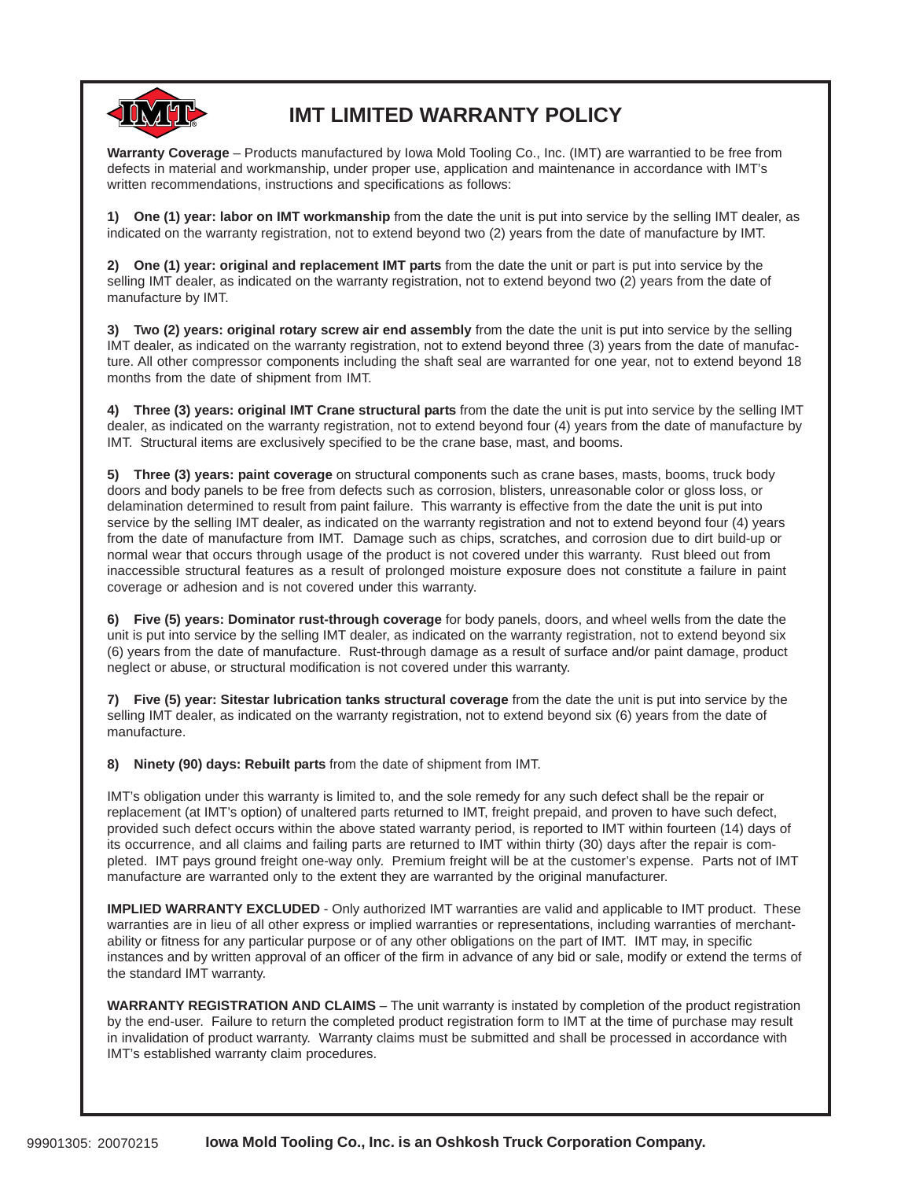

# **IMT LIMITED WARRANTY POLICY**

**Warranty Coverage** – Products manufactured by Iowa Mold Tooling Co., Inc. (IMT) are warrantied to be free from defects in material and workmanship, under proper use, application and maintenance in accordance with IMT's written recommendations, instructions and specifications as follows:

**1) One (1) year: labor on IMT workmanship** from the date the unit is put into service by the selling IMT dealer, as indicated on the warranty registration, not to extend beyond two (2) years from the date of manufacture by IMT.

**2) One (1) year: original and replacement IMT parts** from the date the unit or part is put into service by the selling IMT dealer, as indicated on the warranty registration, not to extend beyond two (2) years from the date of manufacture by IMT.

**3) Two (2) years: original rotary screw air end assembly** from the date the unit is put into service by the selling IMT dealer, as indicated on the warranty registration, not to extend beyond three (3) years from the date of manufacture. All other compressor components including the shaft seal are warranted for one year, not to extend beyond 18 months from the date of shipment from IMT.

**4) Three (3) years: original IMT Crane structural parts** from the date the unit is put into service by the selling IMT dealer, as indicated on the warranty registration, not to extend beyond four (4) years from the date of manufacture by IMT. Structural items are exclusively specified to be the crane base, mast, and booms.

**5) Three (3) years: paint coverage** on structural components such as crane bases, masts, booms, truck body doors and body panels to be free from defects such as corrosion, blisters, unreasonable color or gloss loss, or delamination determined to result from paint failure. This warranty is effective from the date the unit is put into service by the selling IMT dealer, as indicated on the warranty registration and not to extend beyond four (4) years from the date of manufacture from IMT. Damage such as chips, scratches, and corrosion due to dirt build-up or normal wear that occurs through usage of the product is not covered under this warranty. Rust bleed out from inaccessible structural features as a result of prolonged moisture exposure does not constitute a failure in paint coverage or adhesion and is not covered under this warranty.

**6) Five (5) years: Dominator rust-through coverage** for body panels, doors, and wheel wells from the date the unit is put into service by the selling IMT dealer, as indicated on the warranty registration, not to extend beyond six (6) years from the date of manufacture. Rust-through damage as a result of surface and/or paint damage, product neglect or abuse, or structural modification is not covered under this warranty.

**7) Five (5) year: Sitestar lubrication tanks structural coverage** from the date the unit is put into service by the selling IMT dealer, as indicated on the warranty registration, not to extend beyond six (6) years from the date of manufacture.

**8) Ninety (90) days: Rebuilt parts** from the date of shipment from IMT.

IMT's obligation under this warranty is limited to, and the sole remedy for any such defect shall be the repair or replacement (at IMT's option) of unaltered parts returned to IMT, freight prepaid, and proven to have such defect, provided such defect occurs within the above stated warranty period, is reported to IMT within fourteen (14) days of its occurrence, and all claims and failing parts are returned to IMT within thirty (30) days after the repair is completed. IMT pays ground freight one-way only. Premium freight will be at the customer's expense. Parts not of IMT manufacture are warranted only to the extent they are warranted by the original manufacturer.

**IMPLIED WARRANTY EXCLUDED** - Only authorized IMT warranties are valid and applicable to IMT product. These warranties are in lieu of all other express or implied warranties or representations, including warranties of merchantability or fitness for any particular purpose or of any other obligations on the part of IMT. IMT may, in specific instances and by written approval of an officer of the firm in advance of any bid or sale, modify or extend the terms of the standard IMT warranty.

**WARRANTY REGISTRATION AND CLAIMS** – The unit warranty is instated by completion of the product registration by the end-user. Failure to return the completed product registration form to IMT at the time of purchase may result in invalidation of product warranty. Warranty claims must be submitted and shall be processed in accordance with IMT's established warranty claim procedures.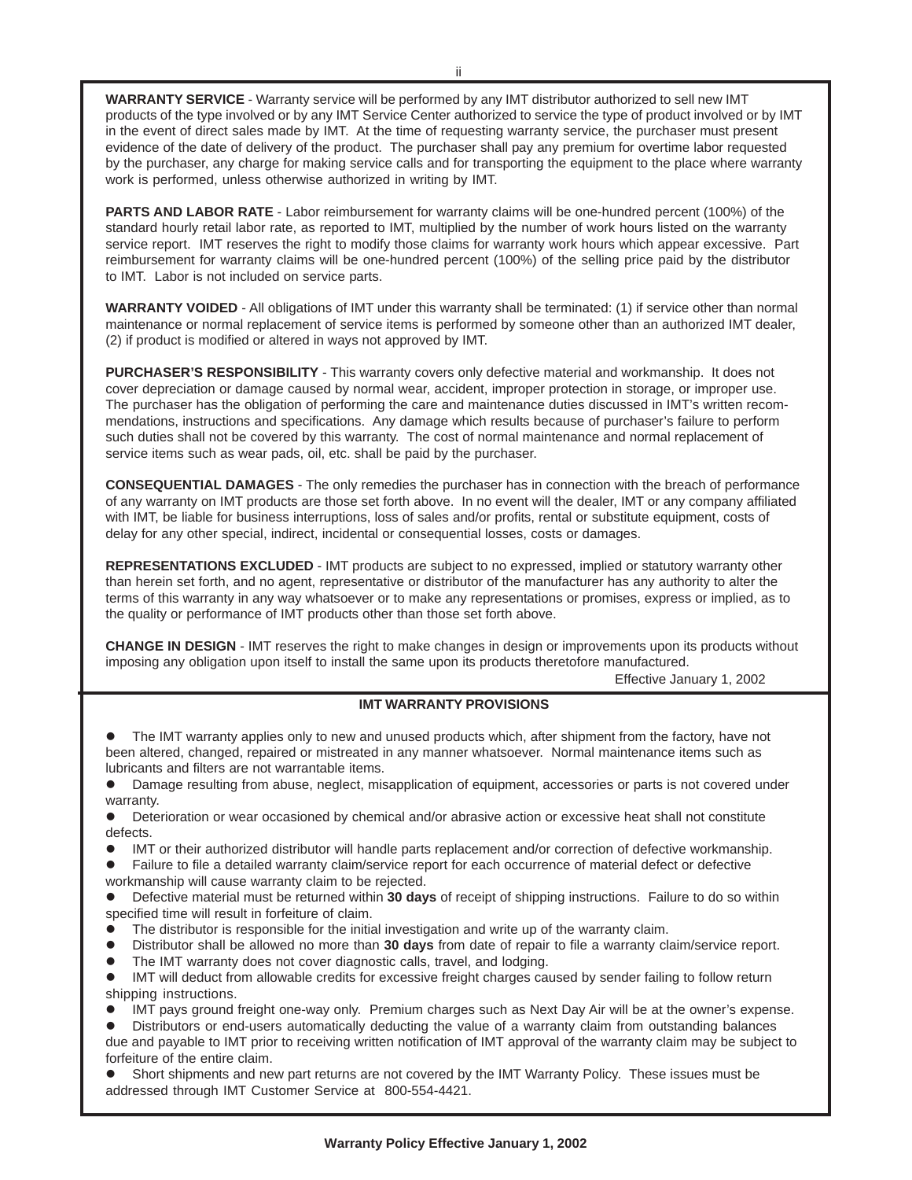**WARRANTY SERVICE** - Warranty service will be performed by any IMT distributor authorized to sell new IMT products of the type involved or by any IMT Service Center authorized to service the type of product involved or by IMT in the event of direct sales made by IMT. At the time of requesting warranty service, the purchaser must present evidence of the date of delivery of the product. The purchaser shall pay any premium for overtime labor requested by the purchaser, any charge for making service calls and for transporting the equipment to the place where warranty work is performed, unless otherwise authorized in writing by IMT.

**PARTS AND LABOR RATE** - Labor reimbursement for warranty claims will be one-hundred percent (100%) of the standard hourly retail labor rate, as reported to IMT, multiplied by the number of work hours listed on the warranty service report. IMT reserves the right to modify those claims for warranty work hours which appear excessive. Part reimbursement for warranty claims will be one-hundred percent (100%) of the selling price paid by the distributor to IMT. Labor is not included on service parts.

**WARRANTY VOIDED** - All obligations of IMT under this warranty shall be terminated: (1) if service other than normal maintenance or normal replacement of service items is performed by someone other than an authorized IMT dealer, (2) if product is modified or altered in ways not approved by IMT.

**PURCHASER'S RESPONSIBILITY** - This warranty covers only defective material and workmanship. It does not cover depreciation or damage caused by normal wear, accident, improper protection in storage, or improper use. The purchaser has the obligation of performing the care and maintenance duties discussed in IMT's written recommendations, instructions and specifications. Any damage which results because of purchaser's failure to perform such duties shall not be covered by this warranty. The cost of normal maintenance and normal replacement of service items such as wear pads, oil, etc. shall be paid by the purchaser.

**CONSEQUENTIAL DAMAGES** - The only remedies the purchaser has in connection with the breach of performance of any warranty on IMT products are those set forth above. In no event will the dealer, IMT or any company affiliated with IMT, be liable for business interruptions, loss of sales and/or profits, rental or substitute equipment, costs of delay for any other special, indirect, incidental or consequential losses, costs or damages.

**REPRESENTATIONS EXCLUDED** - IMT products are subject to no expressed, implied or statutory warranty other than herein set forth, and no agent, representative or distributor of the manufacturer has any authority to alter the terms of this warranty in any way whatsoever or to make any representations or promises, express or implied, as to the quality or performance of IMT products other than those set forth above.

**CHANGE IN DESIGN** - IMT reserves the right to make changes in design or improvements upon its products without imposing any obligation upon itself to install the same upon its products theretofore manufactured.

Effective January 1, 2002

### **IMT WARRANTY PROVISIONS**

The IMT warranty applies only to new and unused products which, after shipment from the factory, have not been altered, changed, repaired or mistreated in any manner whatsoever. Normal maintenance items such as lubricants and filters are not warrantable items.

! Damage resulting from abuse, neglect, misapplication of equipment, accessories or parts is not covered under warranty.

- ! Deterioration or wear occasioned by chemical and/or abrasive action or excessive heat shall not constitute defects.
- ! IMT or their authorized distributor will handle parts replacement and/or correction of defective workmanship.
- ! Failure to file a detailed warranty claim/service report for each occurrence of material defect or defective workmanship will cause warranty claim to be rejected.

! Defective material must be returned within **30 days** of receipt of shipping instructions. Failure to do so within specified time will result in forfeiture of claim.

The distributor is responsible for the initial investigation and write up of the warranty claim.

! Distributor shall be allowed no more than **30 days** from date of repair to file a warranty claim/service report.

The IMT warranty does not cover diagnostic calls, travel, and lodging.

! IMT will deduct from allowable credits for excessive freight charges caused by sender failing to follow return shipping instructions.

! IMT pays ground freight one-way only. Premium charges such as Next Day Air will be at the owner's expense.

! Distributors or end-users automatically deducting the value of a warranty claim from outstanding balances due and payable to IMT prior to receiving written notification of IMT approval of the warranty claim may be subject to forfeiture of the entire claim.

Short shipments and new part returns are not covered by the IMT Warranty Policy. These issues must be addressed through IMT Customer Service at 800-554-4421.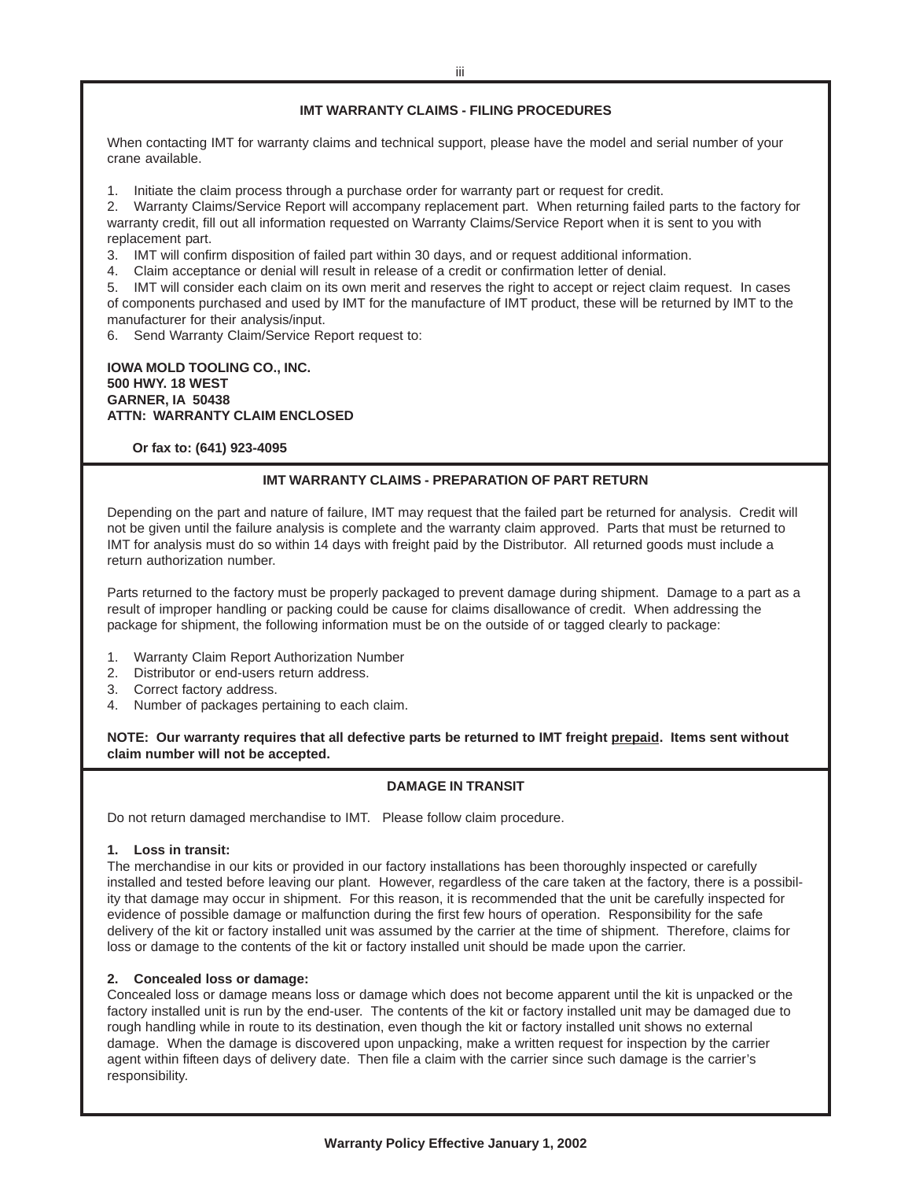### **IMT WARRANTY CLAIMS - FILING PROCEDURES**

When contacting IMT for warranty claims and technical support, please have the model and serial number of your crane available.

1. Initiate the claim process through a purchase order for warranty part or request for credit.

2. Warranty Claims/Service Report will accompany replacement part. When returning failed parts to the factory for warranty credit, fill out all information requested on Warranty Claims/Service Report when it is sent to you with replacement part.

3. IMT will confirm disposition of failed part within 30 days, and or request additional information.

4. Claim acceptance or denial will result in release of a credit or confirmation letter of denial.

5. IMT will consider each claim on its own merit and reserves the right to accept or reject claim request. In cases of components purchased and used by IMT for the manufacture of IMT product, these will be returned by IMT to the manufacturer for their analysis/input.

6. Send Warranty Claim/Service Report request to:

### **IOWA MOLD TOOLING CO., INC. 500 HWY. 18 WEST GARNER, IA 50438 ATTN: WARRANTY CLAIM ENCLOSED**

 **Or fax to: (641) 923-4095**

### **IMT WARRANTY CLAIMS - PREPARATION OF PART RETURN**

Depending on the part and nature of failure, IMT may request that the failed part be returned for analysis. Credit will not be given until the failure analysis is complete and the warranty claim approved. Parts that must be returned to IMT for analysis must do so within 14 days with freight paid by the Distributor. All returned goods must include a return authorization number.

Parts returned to the factory must be properly packaged to prevent damage during shipment. Damage to a part as a result of improper handling or packing could be cause for claims disallowance of credit. When addressing the package for shipment, the following information must be on the outside of or tagged clearly to package:

- 1. Warranty Claim Report Authorization Number
- 2. Distributor or end-users return address.
- 3. Correct factory address.
- 4. Number of packages pertaining to each claim.

**NOTE: Our warranty requires that all defective parts be returned to IMT freight prepaid. Items sent without claim number will not be accepted.**

### **DAMAGE IN TRANSIT**

Do not return damaged merchandise to IMT. Please follow claim procedure.

### **1. Loss in transit:**

The merchandise in our kits or provided in our factory installations has been thoroughly inspected or carefully installed and tested before leaving our plant. However, regardless of the care taken at the factory, there is a possibility that damage may occur in shipment. For this reason, it is recommended that the unit be carefully inspected for evidence of possible damage or malfunction during the first few hours of operation. Responsibility for the safe delivery of the kit or factory installed unit was assumed by the carrier at the time of shipment. Therefore, claims for loss or damage to the contents of the kit or factory installed unit should be made upon the carrier.

### **2. Concealed loss or damage:**

Concealed loss or damage means loss or damage which does not become apparent until the kit is unpacked or the factory installed unit is run by the end-user. The contents of the kit or factory installed unit may be damaged due to rough handling while in route to its destination, even though the kit or factory installed unit shows no external damage. When the damage is discovered upon unpacking, make a written request for inspection by the carrier agent within fifteen days of delivery date. Then file a claim with the carrier since such damage is the carrier's responsibility.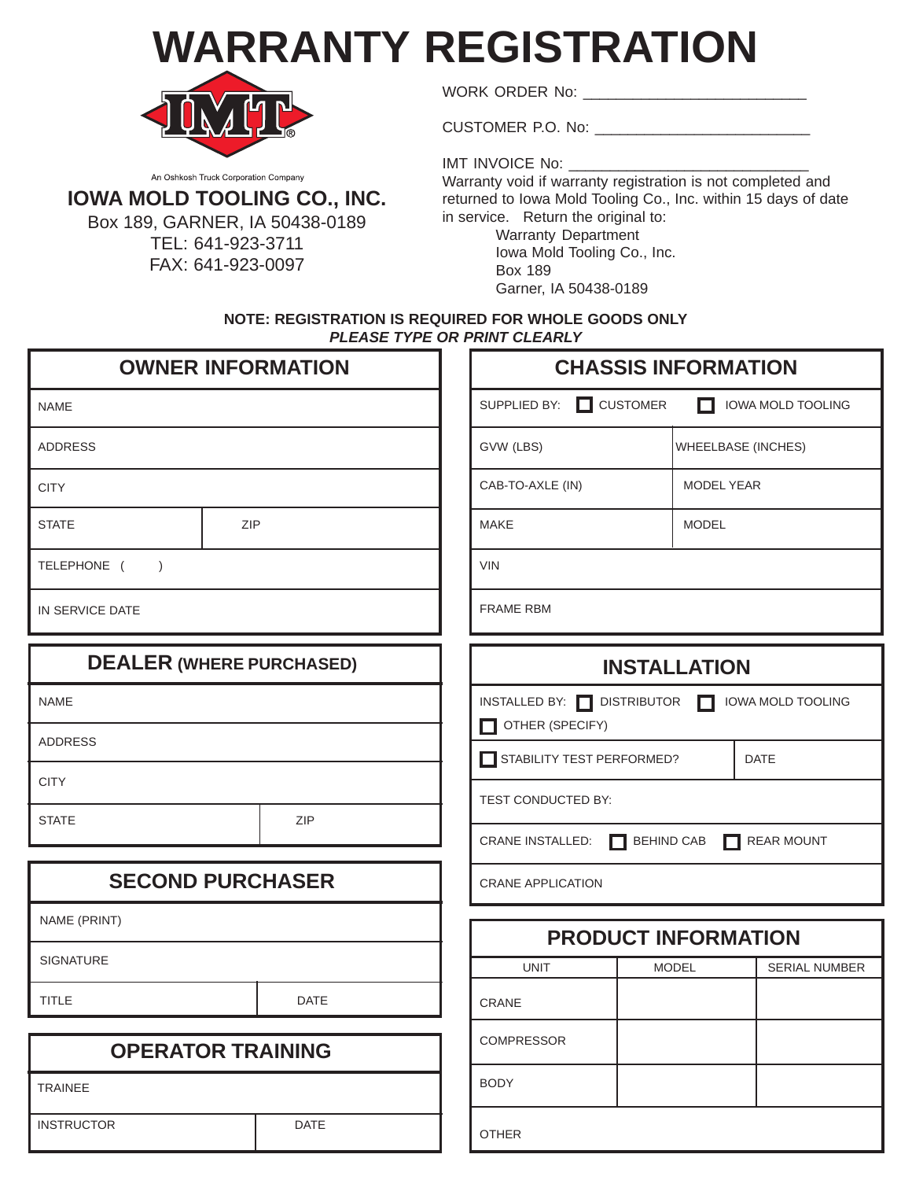**WARRANTY REGISTRATION**



WORK ORDER No:

CUSTOMER P.O. No: \_\_\_\_\_\_\_\_\_\_\_\_\_\_\_\_\_\_\_\_\_\_\_\_\_\_

An Oshkosh Truck Corporation Company

## **IOWA MOLD TOOLING CO., INC.**

Box 189, GARNER, IA 50438-0189 TEL: 641-923-3711 FAX: 641-923-0097

IMT INVOICE No: \_\_\_\_\_

Warranty void if warranty registration is not completed and returned to Iowa Mold Tooling Co., Inc. within 15 days of date in service. Return the original to:

> Warranty Department Iowa Mold Tooling Co., Inc. Box 189 Garner, IA 50438-0189

**NOTE: REGISTRATION IS REQUIRED FOR WHOLE GOODS ONLY PLEASE TYPE OR PRINT CLEARLY**

| <b>OWNER INFORMATION</b>                                         |                  |                          |                                                                               | <b>CHASSIS INFORMATION</b> |                           |  |
|------------------------------------------------------------------|------------------|--------------------------|-------------------------------------------------------------------------------|----------------------------|---------------------------|--|
| <b>NAME</b>                                                      |                  | SUPPLIED BY:             | $\Box$ CUSTOMER                                                               | H                          | <b>IOWA MOLD TOOLING</b>  |  |
| <b>ADDRESS</b>                                                   |                  |                          | GVW (LBS)                                                                     |                            | <b>WHEELBASE (INCHES)</b> |  |
| <b>CITY</b>                                                      |                  |                          | CAB-TO-AXLE (IN)                                                              |                            | <b>MODEL YEAR</b>         |  |
| <b>STATE</b>                                                     | ZIP              |                          | <b>MAKE</b>                                                                   | <b>MODEL</b>               |                           |  |
| <b>VIN</b><br>TELEPHONE (<br>$\rightarrow$                       |                  |                          |                                                                               |                            |                           |  |
| IN SERVICE DATE                                                  | <b>FRAME RBM</b> |                          |                                                                               |                            |                           |  |
| <b>DEALER (WHERE PURCHASED)</b>                                  |                  |                          |                                                                               | <b>INSTALLATION</b>        |                           |  |
| INSTALLED BY: DISTRIBUTOR<br><b>NAME</b><br>П<br>OTHER (SPECIFY) |                  | <b>IOWA MOLD TOOLING</b> |                                                                               |                            |                           |  |
| <b>ADDRESS</b><br>STABILITY TEST PERFORMED?<br><b>DATE</b>       |                  |                          |                                                                               |                            |                           |  |
| <b>CITY</b>                                                      |                  |                          | TEST CONDUCTED BY:                                                            |                            |                           |  |
| <b>STATE</b>                                                     |                  | <b>ZIP</b>               | <b>CRANE INSTALLED:</b><br><b>BEHIND CAB</b><br><b>REAR MOUNT</b><br>H<br>. . |                            |                           |  |
| <b>SECOND PURCHASER</b>                                          |                  |                          | <b>CRANE APPLICATION</b>                                                      |                            |                           |  |
| NAME (PRINT)                                                     |                  |                          | <b>PRODUCT INFORMATION</b>                                                    |                            |                           |  |
| <b>SIGNATURE</b>                                                 |                  | <b>UNIT</b>              |                                                                               | <b>MODEL</b>               | <b>SERIAL NUMBER</b>      |  |
| TITLE                                                            |                  | <b>DATE</b>              | <b>CRANE</b>                                                                  |                            |                           |  |
| <b>OPERATOR TRAINING</b>                                         |                  |                          | <b>COMPRESSOR</b>                                                             |                            |                           |  |
| <b>TRAINEE</b>                                                   |                  |                          | <b>BODY</b>                                                                   |                            |                           |  |
| <b>INSTRUCTOR</b>                                                |                  | <b>DATE</b>              | <b>OTHER</b>                                                                  |                            |                           |  |